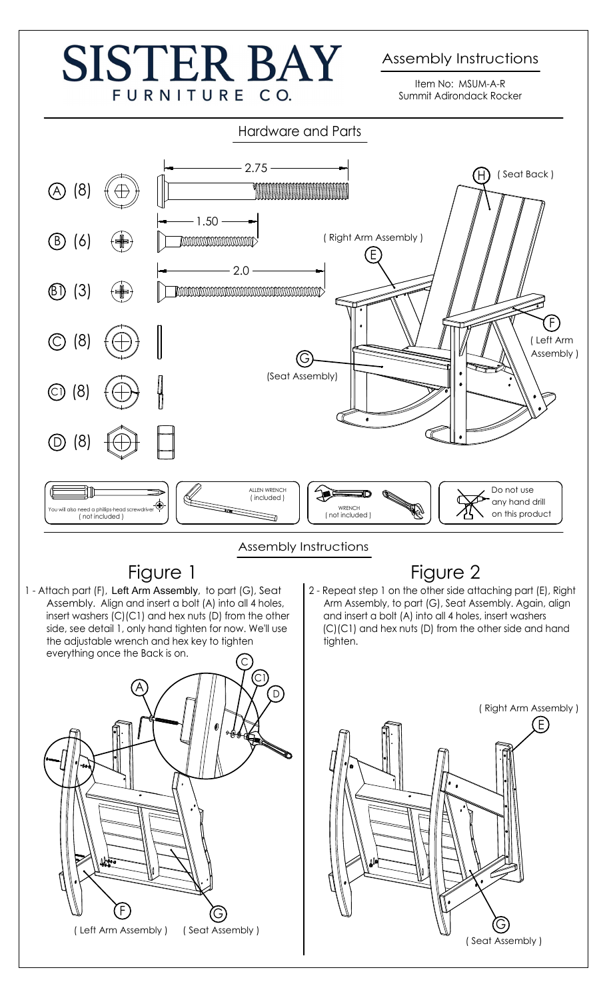